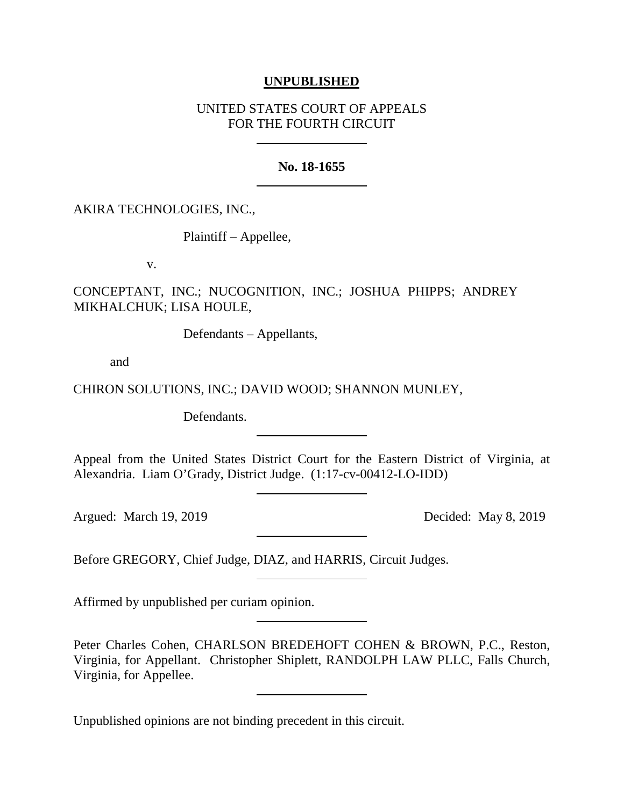## **UNPUBLISHED**

# UNITED STATES COURT OF APPEALS FOR THE FOURTH CIRCUIT

# **No. 18-1655**

AKIRA TECHNOLOGIES, INC.,

Plaintiff – Appellee,

v.

CONCEPTANT, INC.; NUCOGNITION, INC.; JOSHUA PHIPPS; ANDREY MIKHALCHUK; LISA HOULE,

Defendants – Appellants,

and

CHIRON SOLUTIONS, INC.; DAVID WOOD; SHANNON MUNLEY,

Defendants.

Appeal from the United States District Court for the Eastern District of Virginia, at Alexandria. Liam O'Grady, District Judge. (1:17-cv-00412-LO-IDD)

Argued: March 19, 2019 Decided: May 8, 2019

Before GREGORY, Chief Judge, DIAZ, and HARRIS, Circuit Judges.

Affirmed by unpublished per curiam opinion.

Peter Charles Cohen, CHARLSON BREDEHOFT COHEN & BROWN, P.C., Reston, Virginia, for Appellant. Christopher Shiplett, RANDOLPH LAW PLLC, Falls Church, Virginia, for Appellee.

Unpublished opinions are not binding precedent in this circuit.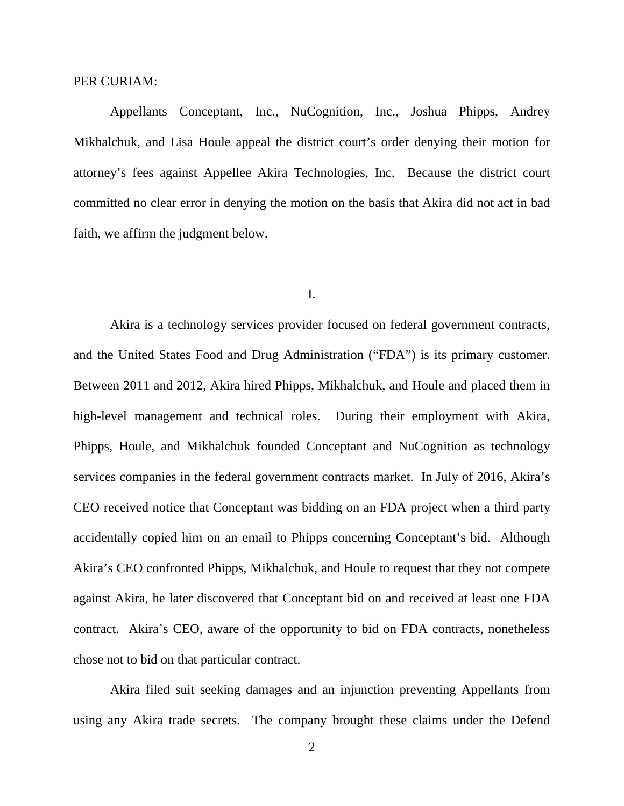#### PER CURIAM:

Appellants Conceptant, Inc., NuCognition, Inc., Joshua Phipps, Andrey Mikhalchuk, and Lisa Houle appeal the district court's order denying their motion for attorney's fees against Appellee Akira Technologies, Inc. Because the district court committed no clear error in denying the motion on the basis that Akira did not act in bad faith, we affirm the judgment below.

#### I.

Akira is a technology services provider focused on federal government contracts, and the United States Food and Drug Administration ("FDA") is its primary customer. Between 2011 and 2012, Akira hired Phipps, Mikhalchuk, and Houle and placed them in high-level management and technical roles. During their employment with Akira, Phipps, Houle, and Mikhalchuk founded Conceptant and NuCognition as technology services companies in the federal government contracts market. In July of 2016, Akira's CEO received notice that Conceptant was bidding on an FDA project when a third party accidentally copied him on an email to Phipps concerning Conceptant's bid. Although Akira's CEO confronted Phipps, Mikhalchuk, and Houle to request that they not compete against Akira, he later discovered that Conceptant bid on and received at least one FDA contract. Akira's CEO, aware of the opportunity to bid on FDA contracts, nonetheless chose not to bid on that particular contract.

Akira filed suit seeking damages and an injunction preventing Appellants from using any Akira trade secrets. The company brought these claims under the Defend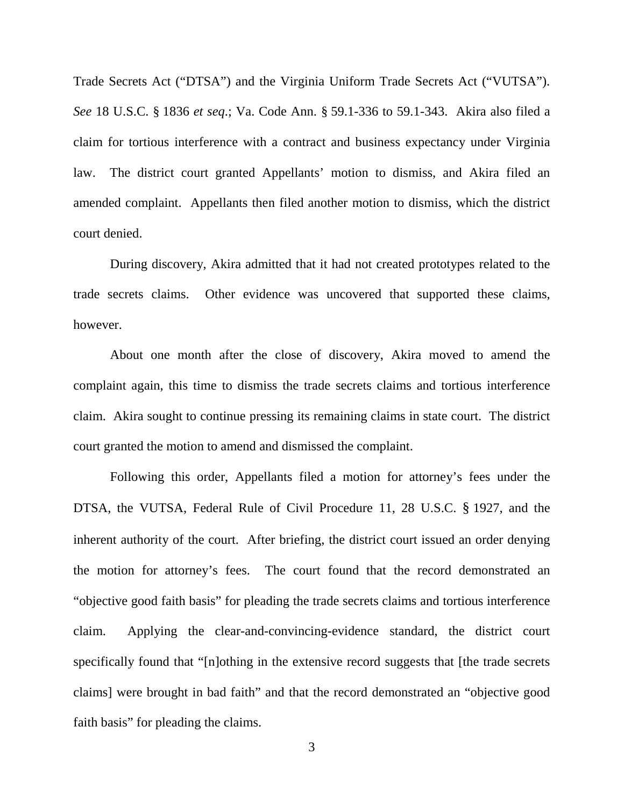Trade Secrets Act ("DTSA") and the Virginia Uniform Trade Secrets Act ("VUTSA"). *See* 18 U.S.C. § 1836 *et seq*.; Va. Code Ann. § 59.1-336 to 59.1-343. Akira also filed a claim for tortious interference with a contract and business expectancy under Virginia law. The district court granted Appellants' motion to dismiss, and Akira filed an amended complaint. Appellants then filed another motion to dismiss, which the district court denied.

During discovery, Akira admitted that it had not created prototypes related to the trade secrets claims. Other evidence was uncovered that supported these claims, however.

About one month after the close of discovery, Akira moved to amend the complaint again, this time to dismiss the trade secrets claims and tortious interference claim. Akira sought to continue pressing its remaining claims in state court. The district court granted the motion to amend and dismissed the complaint.

Following this order, Appellants filed a motion for attorney's fees under the DTSA, the VUTSA, Federal Rule of Civil Procedure 11, 28 U.S.C. § 1927, and the inherent authority of the court. After briefing, the district court issued an order denying the motion for attorney's fees. The court found that the record demonstrated an "objective good faith basis" for pleading the trade secrets claims and tortious interference claim. Applying the clear-and-convincing-evidence standard, the district court specifically found that "[n]othing in the extensive record suggests that [the trade secrets claims] were brought in bad faith" and that the record demonstrated an "objective good faith basis" for pleading the claims.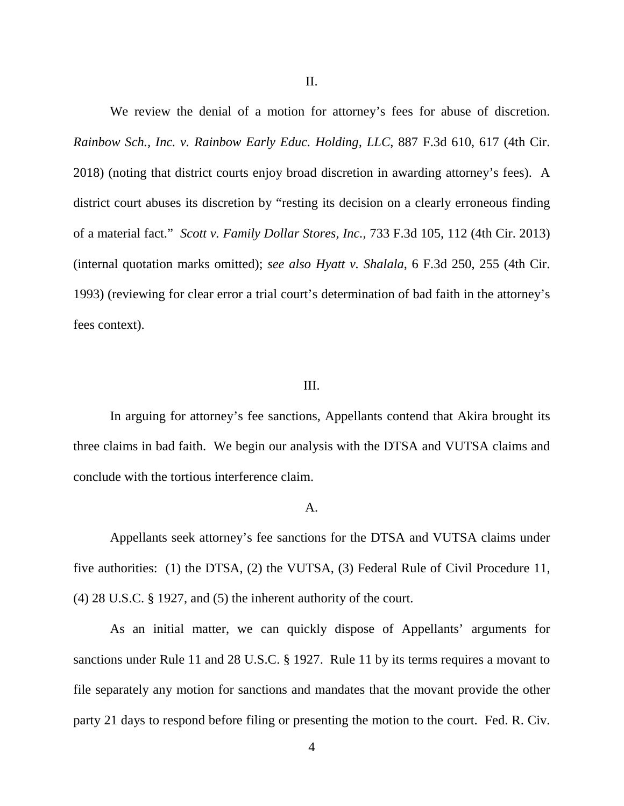We review the denial of a motion for attorney's fees for abuse of discretion. *Rainbow Sch., Inc. v. Rainbow Early Educ. Holding, LLC*, 887 F.3d 610, 617 (4th Cir. 2018) (noting that district courts enjoy broad discretion in awarding attorney's fees). A district court abuses its discretion by "resting its decision on a clearly erroneous finding of a material fact." *Scott v. Family Dollar Stores, Inc.*, 733 F.3d 105, 112 (4th Cir. 2013) (internal quotation marks omitted); *see also Hyatt v. Shalala*, 6 F.3d 250, 255 (4th Cir. 1993) (reviewing for clear error a trial court's determination of bad faith in the attorney's fees context).

### III.

In arguing for attorney's fee sanctions, Appellants contend that Akira brought its three claims in bad faith. We begin our analysis with the DTSA and VUTSA claims and conclude with the tortious interference claim.

#### A.

Appellants seek attorney's fee sanctions for the DTSA and VUTSA claims under five authorities: (1) the DTSA, (2) the VUTSA, (3) Federal Rule of Civil Procedure 11, (4) 28 U.S.C. § 1927, and (5) the inherent authority of the court.

As an initial matter, we can quickly dispose of Appellants' arguments for sanctions under Rule 11 and 28 U.S.C. § 1927. Rule 11 by its terms requires a movant to file separately any motion for sanctions and mandates that the movant provide the other party 21 days to respond before filing or presenting the motion to the court. Fed. R. Civ.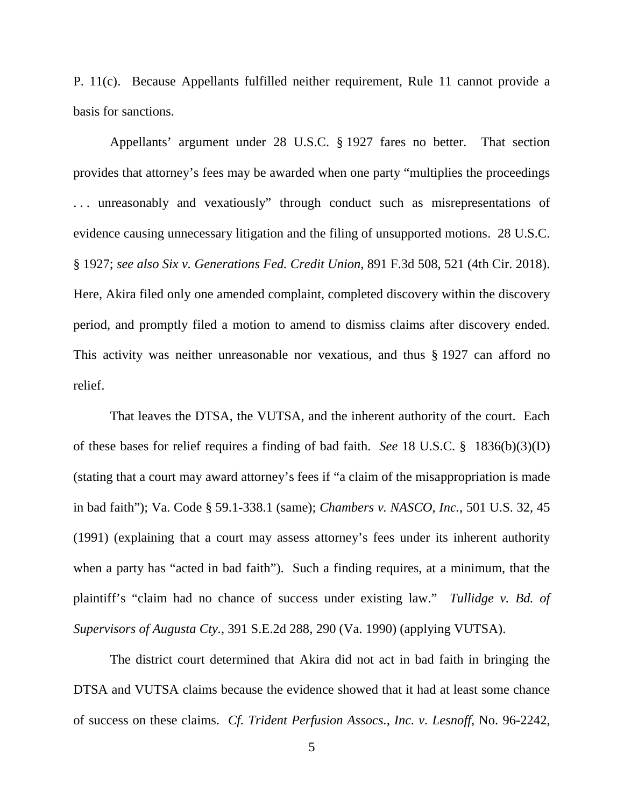P. 11(c). Because Appellants fulfilled neither requirement, Rule 11 cannot provide a basis for sanctions.

Appellants' argument under 28 U.S.C. § 1927 fares no better. That section provides that attorney's fees may be awarded when one party "multiplies the proceedings ... unreasonably and vexatiously" through conduct such as misrepresentations of evidence causing unnecessary litigation and the filing of unsupported motions. 28 U.S.C. § 1927; *see also Six v. Generations Fed. Credit Union*, 891 F.3d 508, 521 (4th Cir. 2018). Here, Akira filed only one amended complaint, completed discovery within the discovery period, and promptly filed a motion to amend to dismiss claims after discovery ended. This activity was neither unreasonable nor vexatious, and thus § 1927 can afford no relief.

That leaves the DTSA, the VUTSA, and the inherent authority of the court. Each of these bases for relief requires a finding of bad faith. *See* 18 U.S.C. § 1836(b)(3)(D) (stating that a court may award attorney's fees if "a claim of the misappropriation is made in bad faith"); Va. Code § 59.1-338.1 (same); *Chambers v. NASCO, Inc.*, 501 U.S. 32, 45 (1991) (explaining that a court may assess attorney's fees under its inherent authority when a party has "acted in bad faith"). Such a finding requires, at a minimum, that the plaintiff's "claim had no chance of success under existing law." *Tullidge v. Bd. of Supervisors of Augusta Cty.*, 391 S.E.2d 288, 290 (Va. 1990) (applying VUTSA).

The district court determined that Akira did not act in bad faith in bringing the DTSA and VUTSA claims because the evidence showed that it had at least some chance of success on these claims. *Cf. Trident Perfusion Assocs., Inc. v. Lesnoff*, No. 96-2242,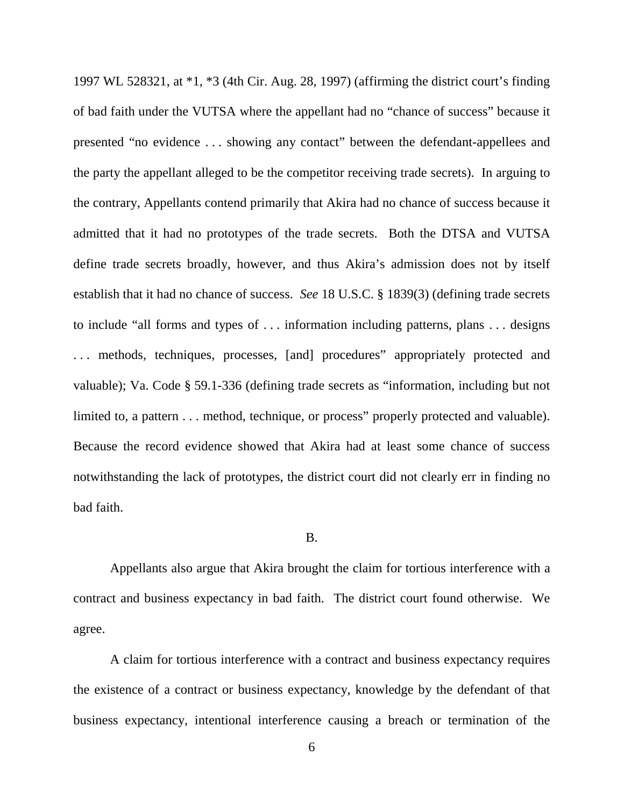1997 WL 528321, at \*1, \*3 (4th Cir. Aug. 28, 1997) (affirming the district court's finding of bad faith under the VUTSA where the appellant had no "chance of success" because it presented "no evidence . . . showing any contact" between the defendant-appellees and the party the appellant alleged to be the competitor receiving trade secrets). In arguing to the contrary, Appellants contend primarily that Akira had no chance of success because it admitted that it had no prototypes of the trade secrets. Both the DTSA and VUTSA define trade secrets broadly, however, and thus Akira's admission does not by itself establish that it had no chance of success. *See* 18 U.S.C. § 1839(3) (defining trade secrets to include "all forms and types of . . . information including patterns, plans . . . designs ... methods, techniques, processes, [and] procedures" appropriately protected and valuable); Va. Code § 59.1-336 (defining trade secrets as "information, including but not limited to, a pattern . . . method, technique, or process" properly protected and valuable). Because the record evidence showed that Akira had at least some chance of success notwithstanding the lack of prototypes, the district court did not clearly err in finding no bad faith.

#### B.

Appellants also argue that Akira brought the claim for tortious interference with a contract and business expectancy in bad faith. The district court found otherwise. We agree.

A claim for tortious interference with a contract and business expectancy requires the existence of a contract or business expectancy, knowledge by the defendant of that business expectancy, intentional interference causing a breach or termination of the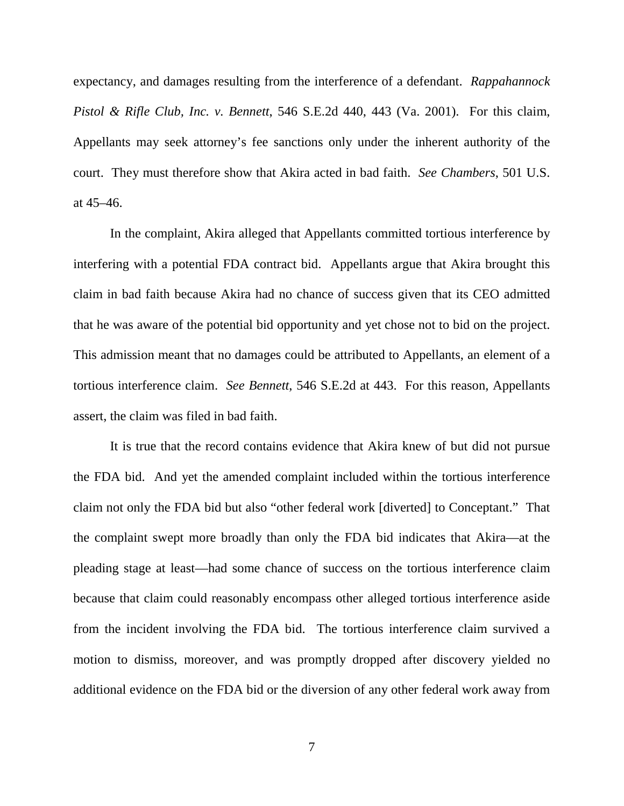expectancy, and damages resulting from the interference of a defendant. *Rappahannock Pistol & Rifle Club, Inc. v. Bennett*, 546 S.E.2d 440, 443 (Va. 2001). For this claim, Appellants may seek attorney's fee sanctions only under the inherent authority of the court. They must therefore show that Akira acted in bad faith. *See Chambers*, 501 U.S. at 45–46.

In the complaint, Akira alleged that Appellants committed tortious interference by interfering with a potential FDA contract bid. Appellants argue that Akira brought this claim in bad faith because Akira had no chance of success given that its CEO admitted that he was aware of the potential bid opportunity and yet chose not to bid on the project. This admission meant that no damages could be attributed to Appellants, an element of a tortious interference claim. *See Bennett*, 546 S.E.2d at 443. For this reason, Appellants assert, the claim was filed in bad faith.

It is true that the record contains evidence that Akira knew of but did not pursue the FDA bid. And yet the amended complaint included within the tortious interference claim not only the FDA bid but also "other federal work [diverted] to Conceptant." That the complaint swept more broadly than only the FDA bid indicates that Akira—at the pleading stage at least—had some chance of success on the tortious interference claim because that claim could reasonably encompass other alleged tortious interference aside from the incident involving the FDA bid. The tortious interference claim survived a motion to dismiss, moreover, and was promptly dropped after discovery yielded no additional evidence on the FDA bid or the diversion of any other federal work away from